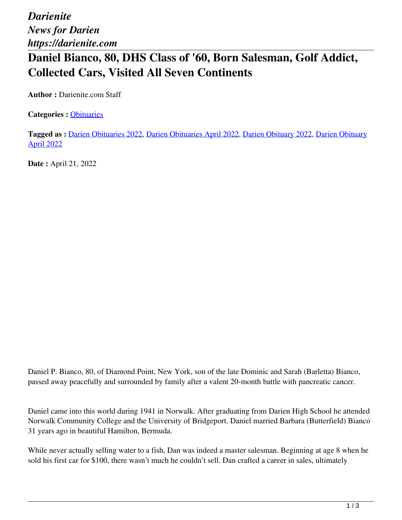## **Daniel Bianco, 80, DHS Class of '60, Born Salesman, Golf Addict, Collected Cars, Visited All Seven Continents**

**Author :** Darienite.com Staff

**Categories :** [Obituaries](https://darienite.com/category/obituaries)

**Tagged as :** Darien Obituaries 2022, Darien Obituaries April 2022, Darien Obituary 2022, Darien Obituary April 2022

**Date :** April 21, 2022

Daniel P. Bianco, 80, of Diamond Point, New York, son of the late Dominic and Sarah (Barletta) Bianco, passed away peacefully and surrounded by family after a valent 20-month battle with pancreatic cancer.

Daniel came into this world during 1941 in Norwalk. After graduating from Darien High School he attended Norwalk Community College and the University of Bridgeport. Daniel married Barbara (Butterfield) Bianco 31 years ago in beautiful Hamilton, Bermuda.

While never actually selling water to a fish, Dan was indeed a master salesman. Beginning at age 8 when he sold his first car for \$100, there wasn't much he couldn't sell. Dan crafted a career in sales, ultimately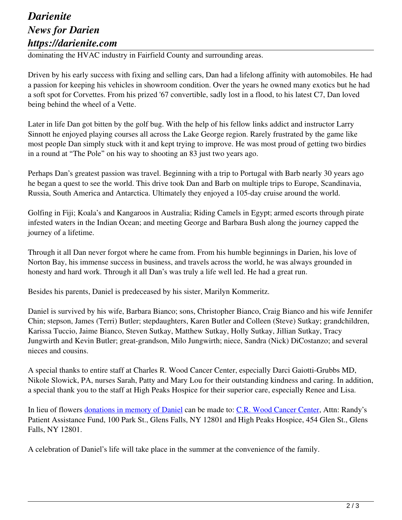## *Darienite News for Darien https://darienite.com*

dominating the HVAC industry in Fairfield County and surrounding areas.

Driven by his early success with fixing and selling cars, Dan had a lifelong affinity with automobiles. He had a passion for keeping his vehicles in showroom condition. Over the years he owned many exotics but he had a soft spot for Corvettes. From his prized '67 convertible, sadly lost in a flood, to his latest C7, Dan loved being behind the wheel of a Vette.

Later in life Dan got bitten by the golf bug. With the help of his fellow links addict and instructor Larry Sinnott he enjoyed playing courses all across the Lake George region. Rarely frustrated by the game like most people Dan simply stuck with it and kept trying to improve. He was most proud of getting two birdies in a round at "The Pole" on his way to shooting an 83 just two years ago.

Perhaps Dan's greatest passion was travel. Beginning with a trip to Portugal with Barb nearly 30 years ago he began a quest to see the world. This drive took Dan and Barb on multiple trips to Europe, Scandinavia, Russia, South America and Antarctica. Ultimately they enjoyed a 105-day cruise around the world.

Golfing in Fiji; Koala's and Kangaroos in Australia; Riding Camels in Egypt; armed escorts through pirate infested waters in the Indian Ocean; and meeting George and Barbara Bush along the journey capped the journey of a lifetime.

Through it all Dan never forgot where he came from. From his humble beginnings in Darien, his love of Norton Bay, his immense success in business, and travels across the world, he was always grounded in honesty and hard work. Through it all Dan's was truly a life well led. He had a great run.

Besides his parents, Daniel is predeceased by his sister, Marilyn Kommeritz.

Daniel is survived by his wife, Barbara Bianco; sons, Christopher Bianco, Craig Bianco and his wife Jennifer Chin; stepson, James (Terri) Butler; stepdaughters, Karen Butler and Colleen (Steve) Sutkay; grandchildren, Karissa Tuccio, Jaime Bianco, Steven Sutkay, Matthew Sutkay, Holly Sutkay, Jillian Sutkay, Tracy Jungwirth and Kevin Butler; great-grandson, Milo Jungwirth; niece, Sandra (Nick) DiCostanzo; and several nieces and cousins.

A special thanks to entire staff at Charles R. Wood Cancer Center, especially Darci Gaiotti-Grubbs MD, Nikole Slowick, PA, nurses Sarah, Patty and Mary Lou for their outstanding kindness and caring. In addition, a special thank you to the staff at High Peaks Hospice for their superior care, especially Renee and Lisa.

In lieu of flowers donations in memory of Daniel can be made to: C.R. Wood Cancer Center, Attn: Randy's Patient Assistance Fund, 100 Park St., Glens Falls, NY 12801 and High Peaks Hospice, 454 Glen St., Glens Falls, NY 12801.

A celebration of Daniel's life will take place in the summer at the convenience of the family.